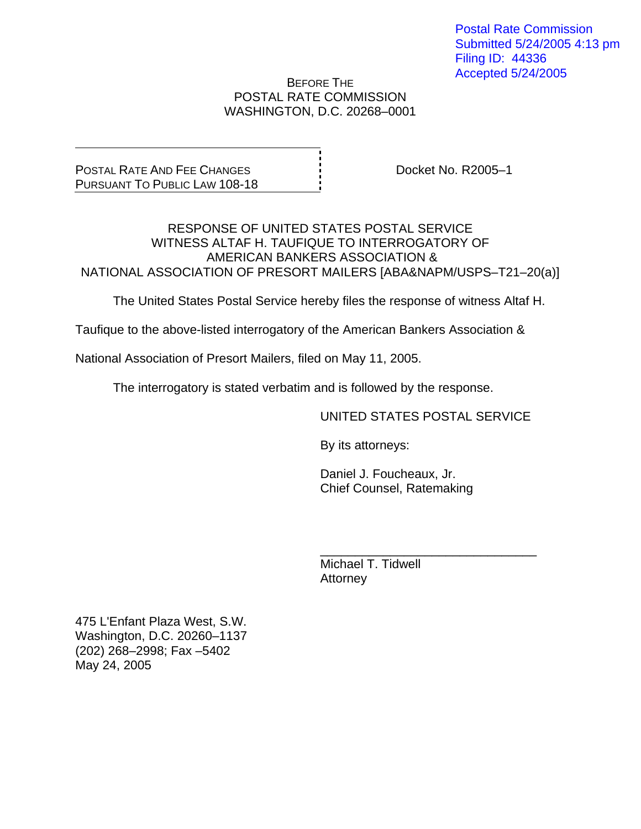Postal Rate Commission Submitted 5/24/2005 4:13 pm Filing ID: 44336 Accepted 5/24/2005

BEFORE THE POSTAL RATE COMMISSION WASHINGTON, D.C. 20268–0001

POSTAL RATE AND FEE CHANGES PURSUANT TO PUBLIC LAW 108-18

Docket No. R2005–1

#### RESPONSE OF UNITED STATES POSTAL SERVICE WITNESS ALTAF H. TAUFIQUE TO INTERROGATORY OF AMERICAN BANKERS ASSOCIATION & NATIONAL ASSOCIATION OF PRESORT MAILERS [ABA&NAPM/USPS–T21–20(a)]

The United States Postal Service hereby files the response of witness Altaf H.

Taufique to the above-listed interrogatory of the American Bankers Association &

National Association of Presort Mailers, filed on May 11, 2005.

The interrogatory is stated verbatim and is followed by the response.

 $\frac{1}{\sqrt{1-\frac{1}{2}+\frac{1}{2}+\frac{1}{2}+\frac{1}{2}+\frac{1}{2}+\frac{1}{2}+\frac{1}{2}+\frac{1}{2}+\frac{1}{2}+\frac{1}{2}+\frac{1}{2}+\frac{1}{2}+\frac{1}{2}+\frac{1}{2}+\frac{1}{2}+\frac{1}{2}+\frac{1}{2}+\frac{1}{2}+\frac{1}{2}+\frac{1}{2}+\frac{1}{2}+\frac{1}{2}+\frac{1}{2}+\frac{1}{2}+\frac{1}{2}+\frac{1}{2}+\frac{1}{2}+\frac{1}{2}+\frac{1}{2}+\frac{1}{2}+\$ 

UNITED STATES POSTAL SERVICE

By its attorneys:

 Daniel J. Foucheaux, Jr. Chief Counsel, Ratemaking

 Michael T. Tidwell **Attorney** 

475 L'Enfant Plaza West, S.W. Washington, D.C. 20260–1137 (202) 268–2998; Fax –5402 May 24, 2005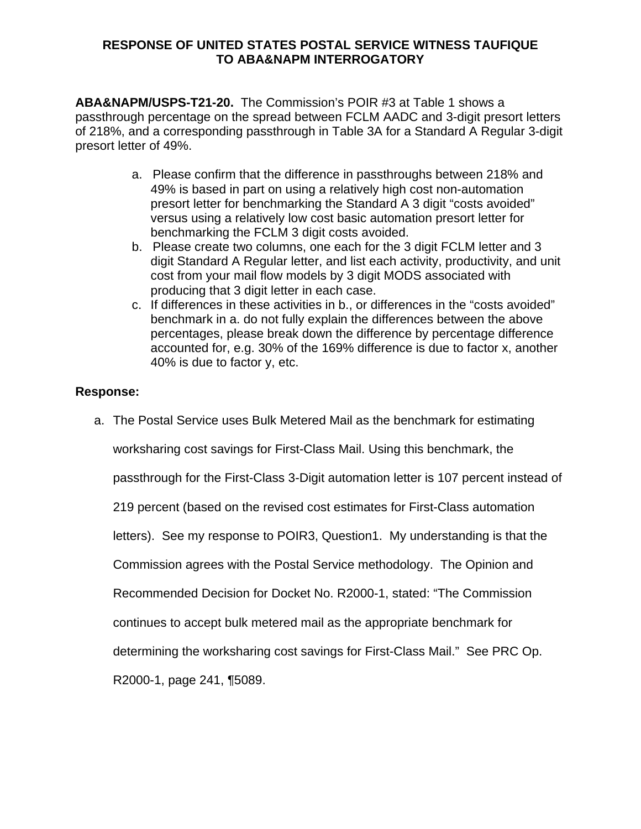#### **RESPONSE OF UNITED STATES POSTAL SERVICE WITNESS TAUFIQUE TO ABA&NAPM INTERROGATORY**

**ABA&NAPM/USPS-T21-20.** The Commission's POIR #3 at Table 1 shows a passthrough percentage on the spread between FCLM AADC and 3-digit presort letters of 218%, and a corresponding passthrough in Table 3A for a Standard A Regular 3-digit presort letter of 49%.

- a. Please confirm that the difference in passthroughs between 218% and 49% is based in part on using a relatively high cost non-automation presort letter for benchmarking the Standard A 3 digit "costs avoided" versus using a relatively low cost basic automation presort letter for benchmarking the FCLM 3 digit costs avoided.
- b. Please create two columns, one each for the 3 digit FCLM letter and 3 digit Standard A Regular letter, and list each activity, productivity, and unit cost from your mail flow models by 3 digit MODS associated with producing that 3 digit letter in each case.
- c. If differences in these activities in b., or differences in the "costs avoided" benchmark in a. do not fully explain the differences between the above percentages, please break down the difference by percentage difference accounted for, e.g. 30% of the 169% difference is due to factor x, another 40% is due to factor y, etc.

# **Response:**

a. The Postal Service uses Bulk Metered Mail as the benchmark for estimating

worksharing cost savings for First-Class Mail. Using this benchmark, the

passthrough for the First-Class 3-Digit automation letter is 107 percent instead of

219 percent (based on the revised cost estimates for First-Class automation

letters). See my response to POIR3, Question1. My understanding is that the

Commission agrees with the Postal Service methodology. The Opinion and

Recommended Decision for Docket No. R2000-1, stated: "The Commission

continues to accept bulk metered mail as the appropriate benchmark for

determining the worksharing cost savings for First-Class Mail." See PRC Op.

R2000-1, page 241, ¶5089.